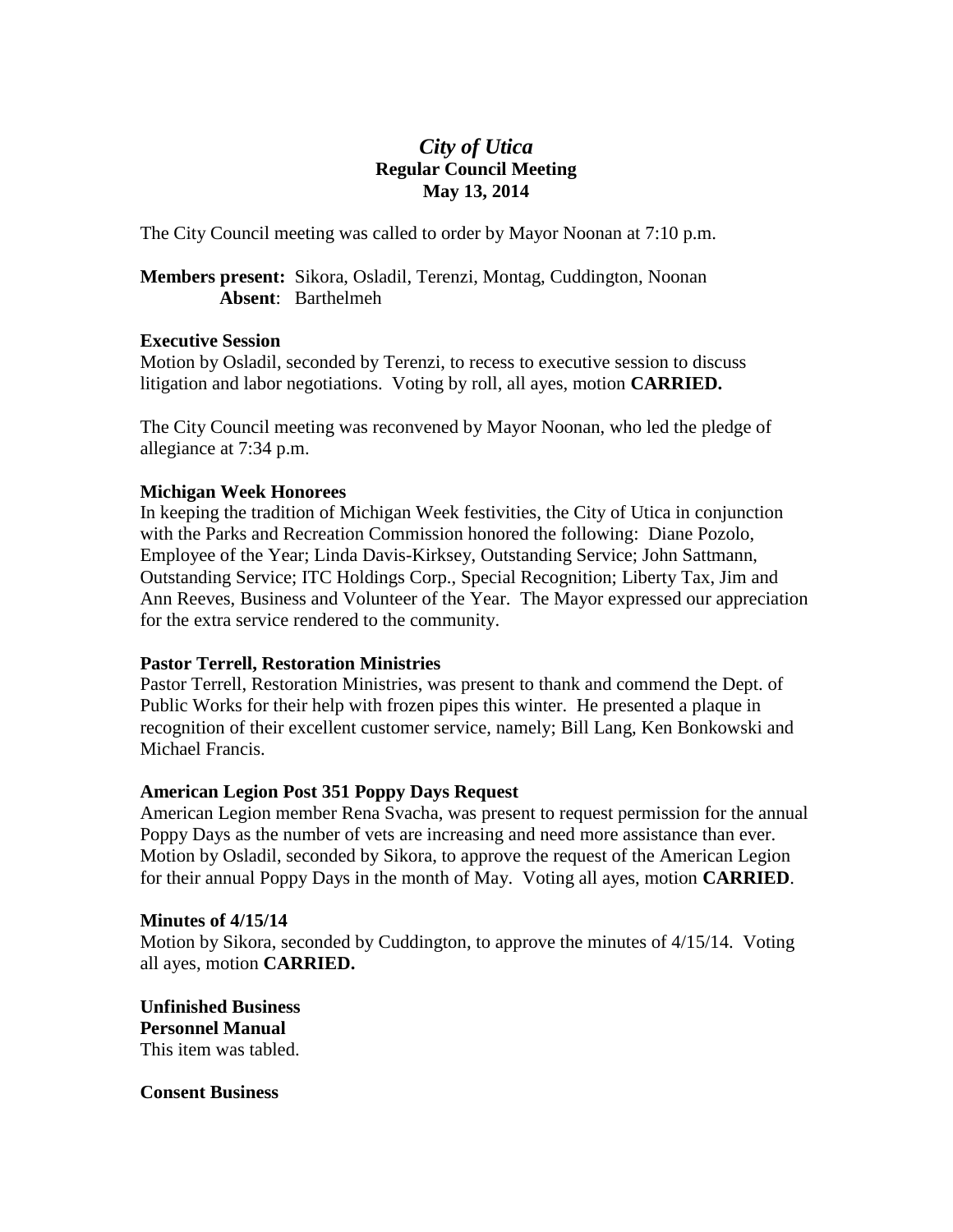# *City of Utica* **Regular Council Meeting May 13, 2014**

The City Council meeting was called to order by Mayor Noonan at 7:10 p.m.

**Members present:** Sikora, Osladil, Terenzi, Montag, Cuddington, Noonan **Absent**: Barthelmeh

## **Executive Session**

Motion by Osladil, seconded by Terenzi, to recess to executive session to discuss litigation and labor negotiations. Voting by roll, all ayes, motion **CARRIED.**

The City Council meeting was reconvened by Mayor Noonan, who led the pledge of allegiance at 7:34 p.m.

## **Michigan Week Honorees**

In keeping the tradition of Michigan Week festivities, the City of Utica in conjunction with the Parks and Recreation Commission honored the following: Diane Pozolo, Employee of the Year; Linda Davis-Kirksey, Outstanding Service; John Sattmann, Outstanding Service; ITC Holdings Corp., Special Recognition; Liberty Tax, Jim and Ann Reeves, Business and Volunteer of the Year. The Mayor expressed our appreciation for the extra service rendered to the community.

## **Pastor Terrell, Restoration Ministries**

Pastor Terrell, Restoration Ministries, was present to thank and commend the Dept. of Public Works for their help with frozen pipes this winter. He presented a plaque in recognition of their excellent customer service, namely; Bill Lang, Ken Bonkowski and Michael Francis.

## **American Legion Post 351 Poppy Days Request**

American Legion member Rena Svacha, was present to request permission for the annual Poppy Days as the number of vets are increasing and need more assistance than ever. Motion by Osladil, seconded by Sikora, to approve the request of the American Legion for their annual Poppy Days in the month of May. Voting all ayes, motion **CARRIED**.

#### **Minutes of 4/15/14**

Motion by Sikora, seconded by Cuddington, to approve the minutes of 4/15/14. Voting all ayes, motion **CARRIED.**

**Unfinished Business Personnel Manual** This item was tabled.

**Consent Business**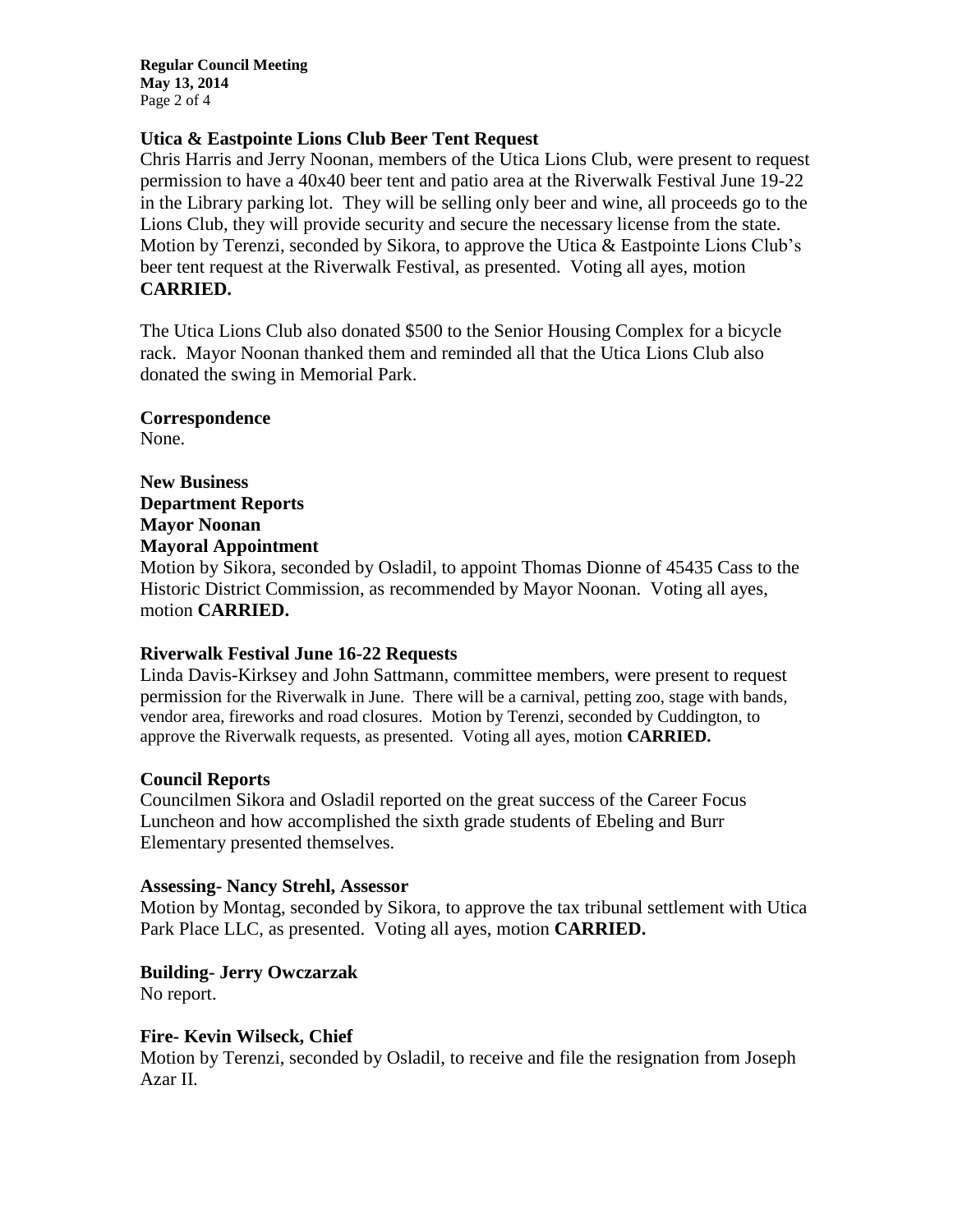**Regular Council Meeting May 13, 2014** Page 2 of 4

## **Utica & Eastpointe Lions Club Beer Tent Request**

Chris Harris and Jerry Noonan, members of the Utica Lions Club, were present to request permission to have a 40x40 beer tent and patio area at the Riverwalk Festival June 19-22 in the Library parking lot. They will be selling only beer and wine, all proceeds go to the Lions Club, they will provide security and secure the necessary license from the state. Motion by Terenzi, seconded by Sikora, to approve the Utica & Eastpointe Lions Club's beer tent request at the Riverwalk Festival, as presented. Voting all ayes, motion **CARRIED.**

The Utica Lions Club also donated \$500 to the Senior Housing Complex for a bicycle rack. Mayor Noonan thanked them and reminded all that the Utica Lions Club also donated the swing in Memorial Park.

**Correspondence** None.

**New Business Department Reports Mayor Noonan Mayoral Appointment**

Motion by Sikora, seconded by Osladil, to appoint Thomas Dionne of 45435 Cass to the Historic District Commission, as recommended by Mayor Noonan. Voting all ayes, motion **CARRIED.**

# **Riverwalk Festival June 16-22 Requests**

Linda Davis-Kirksey and John Sattmann, committee members, were present to request permission for the Riverwalk in June. There will be a carnival, petting zoo, stage with bands, vendor area, fireworks and road closures. Motion by Terenzi, seconded by Cuddington, to approve the Riverwalk requests, as presented. Voting all ayes, motion **CARRIED.**

## **Council Reports**

Councilmen Sikora and Osladil reported on the great success of the Career Focus Luncheon and how accomplished the sixth grade students of Ebeling and Burr Elementary presented themselves.

## **Assessing- Nancy Strehl, Assessor**

Motion by Montag, seconded by Sikora, to approve the tax tribunal settlement with Utica Park Place LLC, as presented. Voting all ayes, motion **CARRIED.**

**Building- Jerry Owczarzak**

No report.

## **Fire- Kevin Wilseck, Chief**

Motion by Terenzi, seconded by Osladil, to receive and file the resignation from Joseph Azar II.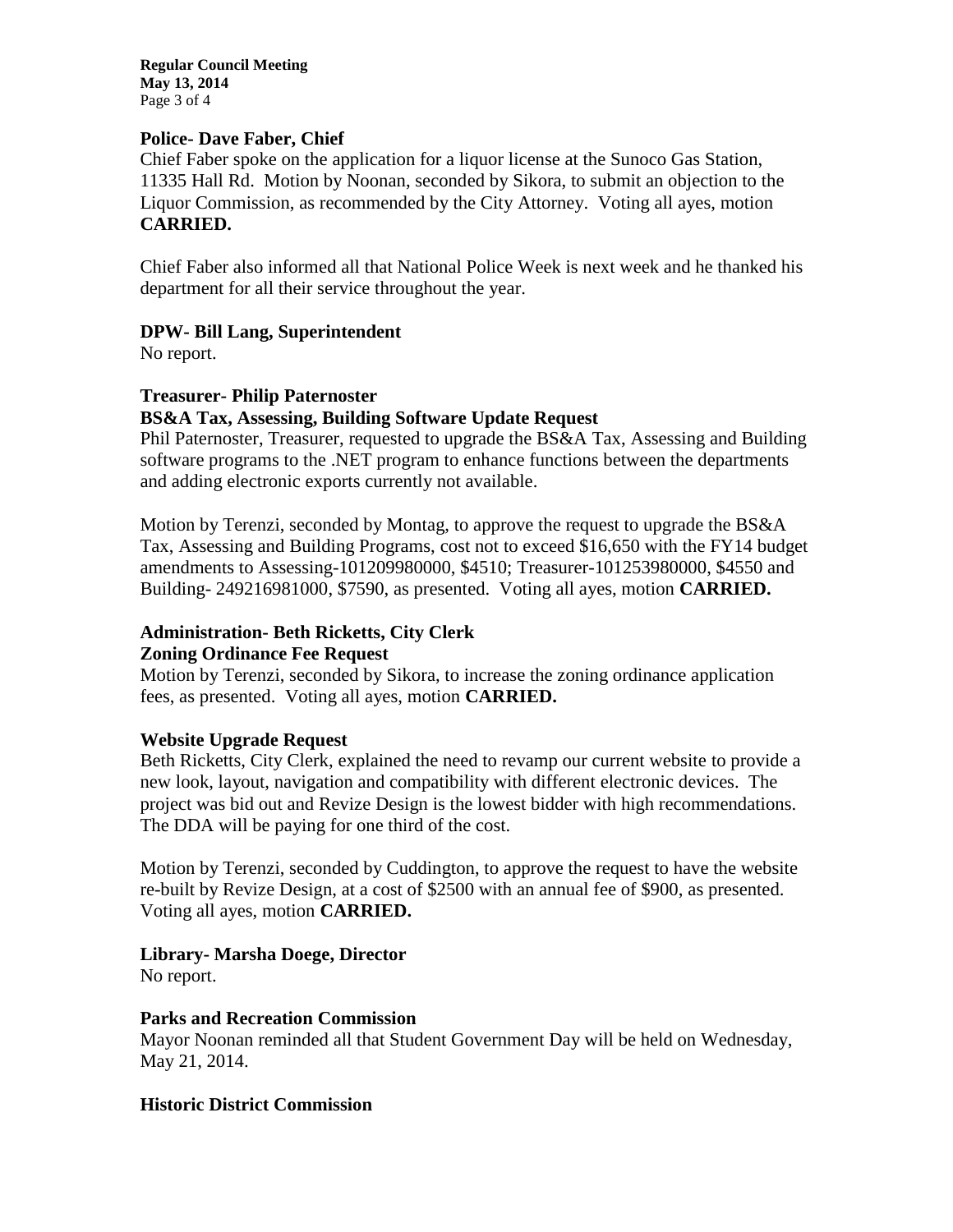**Regular Council Meeting May 13, 2014** Page 3 of 4

## **Police- Dave Faber, Chief**

Chief Faber spoke on the application for a liquor license at the Sunoco Gas Station, 11335 Hall Rd. Motion by Noonan, seconded by Sikora, to submit an objection to the Liquor Commission, as recommended by the City Attorney. Voting all ayes, motion **CARRIED.**

Chief Faber also informed all that National Police Week is next week and he thanked his department for all their service throughout the year.

## **DPW- Bill Lang, Superintendent**

No report.

#### **Treasurer- Philip Paternoster**

## **BS&A Tax, Assessing, Building Software Update Request**

Phil Paternoster, Treasurer, requested to upgrade the BS&A Tax, Assessing and Building software programs to the .NET program to enhance functions between the departments and adding electronic exports currently not available.

Motion by Terenzi, seconded by Montag, to approve the request to upgrade the BS&A Tax, Assessing and Building Programs, cost not to exceed \$16,650 with the FY14 budget amendments to Assessing-101209980000, \$4510; Treasurer-101253980000, \$4550 and Building- 249216981000, \$7590, as presented. Voting all ayes, motion **CARRIED.**

## **Administration- Beth Ricketts, City Clerk**

#### **Zoning Ordinance Fee Request**

Motion by Terenzi, seconded by Sikora, to increase the zoning ordinance application fees, as presented. Voting all ayes, motion **CARRIED.**

#### **Website Upgrade Request**

Beth Ricketts, City Clerk, explained the need to revamp our current website to provide a new look, layout, navigation and compatibility with different electronic devices. The project was bid out and Revize Design is the lowest bidder with high recommendations. The DDA will be paying for one third of the cost.

Motion by Terenzi, seconded by Cuddington, to approve the request to have the website re-built by Revize Design, at a cost of \$2500 with an annual fee of \$900, as presented. Voting all ayes, motion **CARRIED.**

## **Library- Marsha Doege, Director**

No report.

## **Parks and Recreation Commission**

Mayor Noonan reminded all that Student Government Day will be held on Wednesday, May 21, 2014.

#### **Historic District Commission**